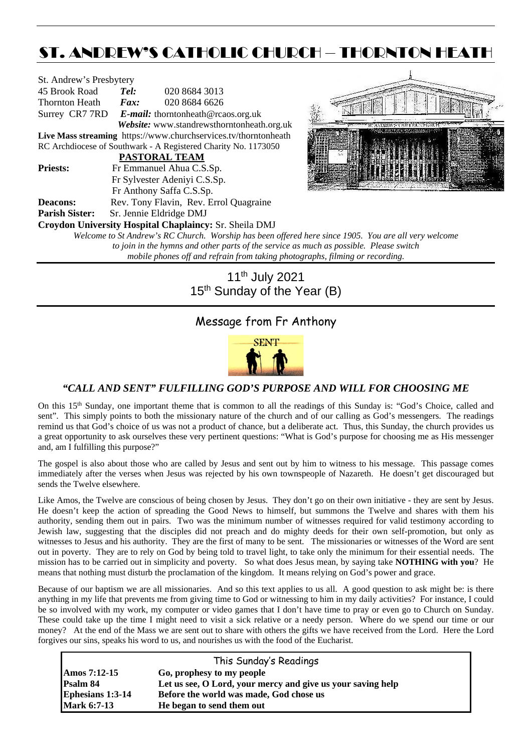# ST. ANDREW'S CATHOLIC CHURCH – THORNTON HEATH

| St. Andrew's Presbytery                                                                              |      |                                                                 |  |  |  |  |  |
|------------------------------------------------------------------------------------------------------|------|-----------------------------------------------------------------|--|--|--|--|--|
| 45 Brook Road                                                                                        | Tel: | 020 8684 3013                                                   |  |  |  |  |  |
| Thornton Heath                                                                                       | Fax: | 020 8684 6626                                                   |  |  |  |  |  |
|                                                                                                      |      | Surrey CR7 7RD E-mail: thorntonheath@rcaos.org.uk               |  |  |  |  |  |
|                                                                                                      |      | Website: www.standrewsthorntonheath.org.uk                      |  |  |  |  |  |
|                                                                                                      |      | Live Mass streaming https://www.churchservices.tv/thorntonheath |  |  |  |  |  |
| RC Archdiocese of Southwark - A Registered Charity No. 1173050                                       |      |                                                                 |  |  |  |  |  |
|                                                                                                      |      | <b>PASTORAL TEAM</b>                                            |  |  |  |  |  |
| <b>Priests:</b>                                                                                      |      | Fr Emmanuel Ahua C.S.Sp.                                        |  |  |  |  |  |
|                                                                                                      |      | Fr Sylvester Adeniyi C.S.Sp.                                    |  |  |  |  |  |
|                                                                                                      |      | Fr Anthony Saffa C.S.Sp.                                        |  |  |  |  |  |
| <b>Deacons:</b>                                                                                      |      | Rev. Tony Flavin, Rev. Errol Quagraine                          |  |  |  |  |  |
| <b>Parish Sister:</b>                                                                                |      | Sr. Jennie Eldridge DMJ                                         |  |  |  |  |  |
|                                                                                                      |      | Croydon University Hospital Chaplaincy: Sr. Sheila DMJ          |  |  |  |  |  |
| Welcome to St Andrew's RC Church. Worship has been offered here since 1905. You are all very welcome |      |                                                                 |  |  |  |  |  |
| to join in the hymns and other parts of the service as much as possible. Please switch               |      |                                                                 |  |  |  |  |  |
| mobile phones off and refrain from taking photographs, filming or recording.                         |      |                                                                 |  |  |  |  |  |

11th July 2021 15<sup>th</sup> Sunday of the Year (B)

# Message from Fr Anthony



#### *"CALL AND SENT" FULFILLING GOD'S PURPOSE AND WILL FOR CHOOSING ME*

On this 15<sup>th</sup> Sunday, one important theme that is common to all the readings of this Sunday is: "God's Choice, called and sent". This simply points to both the missionary nature of the church and of our calling as God's messengers. The readings remind us that God's choice of us was not a product of chance, but a deliberate act. Thus, this Sunday, the church provides us a great opportunity to ask ourselves these very pertinent questions: "What is God's purpose for choosing me as His messenger and, am I fulfilling this purpose?"

The gospel is also about those who are called by Jesus and sent out by him to witness to his message. This passage comes immediately after the verses when Jesus was rejected by his own townspeople of Nazareth. He doesn't get discouraged but sends the Twelve elsewhere.

Like Amos, the Twelve are conscious of being chosen by Jesus. They don't go on their own initiative - they are sent by Jesus. He doesn't keep the action of spreading the Good News to himself, but summons the Twelve and shares with them his authority, sending them out in pairs. Two was the minimum number of witnesses required for valid testimony according to Jewish law, suggesting that the disciples did not preach and do mighty deeds for their own self-promotion, but only as witnesses to Jesus and his authority. They are the first of many to be sent. The missionaries or witnesses of the Word are sent out in poverty. They are to rely on God by being told to travel light, to take only the minimum for their essential needs. The mission has to be carried out in simplicity and poverty. So what does Jesus mean, by saying take **NOTHING with you**? He means that nothing must disturb the proclamation of the kingdom. It means relying on God's power and grace.

Because of our baptism we are all missionaries. And so this text applies to us all. A good question to ask might be: is there anything in my life that prevents me from giving time to God or witnessing to him in my daily activities? For instance, I could be so involved with my work, my computer or video games that I don't have time to pray or even go to Church on Sunday. These could take up the time I might need to visit a sick relative or a needy person. Where do we spend our time or our money? At the end of the Mass we are sent out to share with others the gifts we have received from the Lord. Here the Lord forgives our sins, speaks his word to us, and nourishes us with the food of the Eucharist.

|                    | This Sunday's Readings                                      |  |  |  |  |
|--------------------|-------------------------------------------------------------|--|--|--|--|
| Amos 7:12-15       | Go, prophesy to my people                                   |  |  |  |  |
| Psalm 84           | Let us see, O Lord, your mercy and give us your saving help |  |  |  |  |
| Ephesians 1:3-14   | Before the world was made, God chose us                     |  |  |  |  |
| <b>Mark 6:7-13</b> | He began to send them out                                   |  |  |  |  |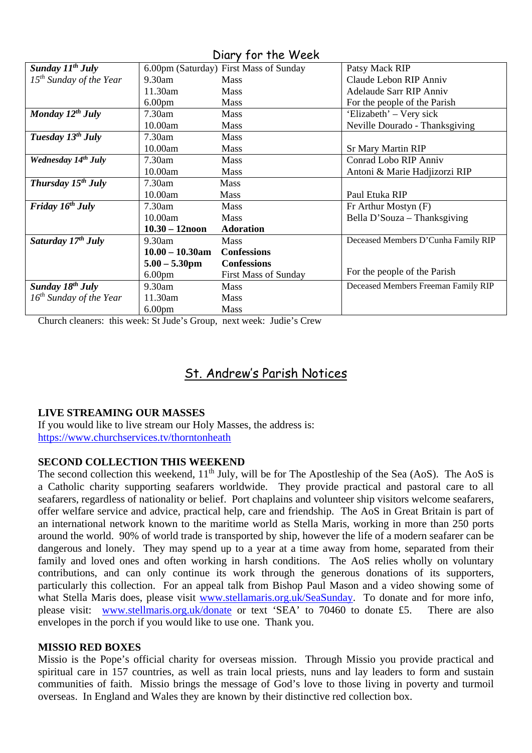| $U$ $U$ $V$ $V$ $V$ $V$ $V$ $V$ $V$ $V$ $V$ $V$ $V$ $V$ |                    |                                        |                                     |  |  |  |  |
|---------------------------------------------------------|--------------------|----------------------------------------|-------------------------------------|--|--|--|--|
| Sunday $11^{th}$ July                                   |                    | 6.00pm (Saturday) First Mass of Sunday | Patsy Mack RIP                      |  |  |  |  |
| $15th$ Sunday of the Year                               | $9.30$ am          | <b>Mass</b>                            | Claude Lebon RIP Anniv              |  |  |  |  |
|                                                         | $11.30$ am         | <b>Mass</b>                            | Adelaude Sarr RIP Anniv             |  |  |  |  |
|                                                         | 6.00 <sub>pm</sub> | <b>Mass</b>                            | For the people of the Parish        |  |  |  |  |
| Monday $12^{th}$ July                                   | $7.30$ am          | <b>Mass</b>                            | 'Elizabeth' – Very sick             |  |  |  |  |
|                                                         | 10.00am            | <b>Mass</b>                            | Neville Dourado - Thanksgiving      |  |  |  |  |
| Tuesday $13^{th}$ July                                  | 7.30am             | <b>Mass</b>                            |                                     |  |  |  |  |
|                                                         | 10.00am            | <b>Mass</b>                            | <b>Sr Mary Martin RIP</b>           |  |  |  |  |
| Wednesday 14th July                                     | 7.30am             | Mass                                   | Conrad Lobo RIP Anniv               |  |  |  |  |
|                                                         | 10.00am            | Mass                                   | Antoni & Marie Hadjizorzi RIP       |  |  |  |  |
| Thursday $15^{th}$ July                                 | 7.30am             | <b>Mass</b>                            |                                     |  |  |  |  |
|                                                         | 10.00am            | <b>Mass</b>                            | Paul Etuka RIP                      |  |  |  |  |
| Friday $16^{th}$ July                                   | 7.30am             | Mass                                   | Fr Arthur Mostyn (F)                |  |  |  |  |
|                                                         | 10.00am            | <b>Mass</b>                            | Bella D'Souza - Thanksgiving        |  |  |  |  |
|                                                         | $10.30 - 12$ noon  | <b>Adoration</b>                       |                                     |  |  |  |  |
| Saturday $17^{th}$ July                                 | 9.30am             | <b>Mass</b>                            | Deceased Members D'Cunha Family RIP |  |  |  |  |
|                                                         | $10.00 - 10.30$ am | <b>Confessions</b>                     |                                     |  |  |  |  |
|                                                         | $5.00 - 5.30$ pm   | <b>Confessions</b>                     |                                     |  |  |  |  |
|                                                         | 6.00 <sub>pm</sub> | <b>First Mass of Sunday</b>            | For the people of the Parish        |  |  |  |  |
| Sunday 18 <sup>th</sup> July                            | 9.30am             | <b>Mass</b>                            | Deceased Members Freeman Family RIP |  |  |  |  |
| $16^{th}$ Sunday of the Year                            | 11.30am            | <b>Mass</b>                            |                                     |  |  |  |  |
|                                                         | 6.00 <sub>pm</sub> | <b>Mass</b>                            |                                     |  |  |  |  |

Diary for the Week

Church cleaners: this week: St Jude's Group, next week: Judie's Crew

# St. Andrew's Parish Notices

## **LIVE STREAMING OUR MASSES**

If you would like to live stream our Holy Masses, the address is: <https://www.churchservices.tv/thorntonheath>

### **SECOND COLLECTION THIS WEEKEND**

The second collection this weekend,  $11<sup>th</sup>$  July, will be for The Apostleship of the Sea (AoS). The AoS is a Catholic charity supporting seafarers worldwide. They provide practical and pastoral care to all seafarers, regardless of nationality or belief. Port chaplains and volunteer ship visitors welcome seafarers, offer welfare service and advice, practical help, care and friendship. The AoS in Great Britain is part of an international network known to the maritime world as Stella Maris, working in more than 250 ports around the world. 90% of world trade is transported by ship, however the life of a modern seafarer can be dangerous and lonely. They may spend up to a year at a time away from home, separated from their family and loved ones and often working in harsh conditions. The AoS relies wholly on voluntary contributions, and can only continue its work through the generous donations of its supporters, particularly this collection. For an appeal talk from Bishop Paul Mason and a video showing some of what Stella Maris does, please visit [www.stellamaris.org.uk/SeaSunday.](http://www.stellamaris.org.uk/SeaSunday) To donate and for more info, please visit: [www.stellmaris.org.uk/donate](http://www.stellmaris.org.uk/donate) or text 'SEA' to 70460 to donate £5. There are also envelopes in the porch if you would like to use one. Thank you.

### **MISSIO RED BOXES**

Missio is the Pope's official charity for overseas mission. Through Missio you provide practical and spiritual care in 157 countries, as well as train local priests, nuns and lay leaders to form and sustain communities of faith. Missio brings the message of God's love to those living in poverty and turmoil overseas. In England and Wales they are known by their distinctive red collection box.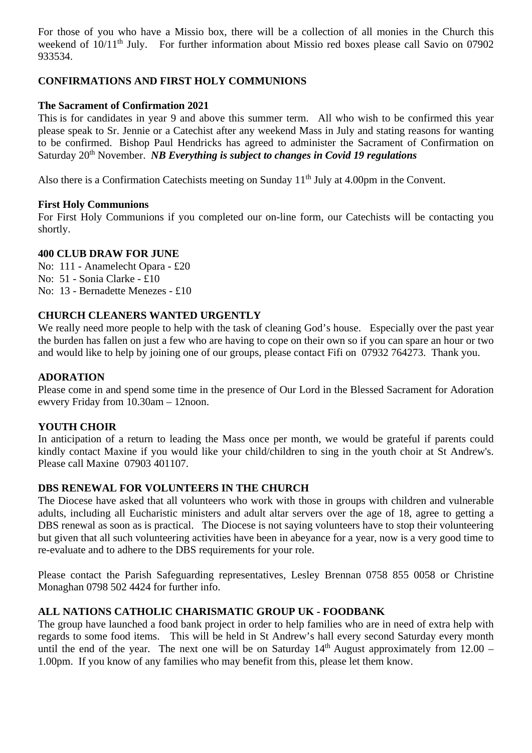For those of you who have a Missio box, there will be a collection of all monies in the Church this weekend of 10/11<sup>th</sup> July. For further information about Missio red boxes please call Savio on 07902 933534.

### **CONFIRMATIONS AND FIRST HOLY COMMUNIONS**

### **The Sacrament of Confirmation 2021**

This is for candidates in year 9 and above this summer term. All who wish to be confirmed this year please speak to Sr. Jennie or a Catechist after any weekend Mass in July and stating reasons for wanting to be confirmed. Bishop Paul Hendricks has agreed to administer the Sacrament of Confirmation on Saturday 20<sup>th</sup> November. *NB Everything is subject to changes in Covid 19 regulations* 

Also there is a Confirmation Catechists meeting on Sunday 11<sup>th</sup> July at 4.00pm in the Convent.

#### **First Holy Communions**

For First Holy Communions if you completed our on-line form, our Catechists will be contacting you shortly.

#### **400 CLUB DRAW FOR JUNE**

No: 111 - Anamelecht Opara - £20 No: 51 - Sonia Clarke - £10 No: 13 - Bernadette Menezes - £10

#### **CHURCH CLEANERS WANTED URGENTLY**

We really need more people to help with the task of cleaning God's house. Especially over the past year the burden has fallen on just a few who are having to cope on their own so if you can spare an hour or two and would like to help by joining one of our groups, please contact Fifi on 07932 764273. Thank you.

#### **ADORATION**

Please come in and spend some time in the presence of Our Lord in the Blessed Sacrament for Adoration ewvery Friday from 10.30am – 12noon.

#### **YOUTH CHOIR**

In anticipation of a return to leading the Mass once per month, we would be grateful if parents could kindly contact Maxine if you would like your child/children to sing in the youth choir at St Andrew's. Please call Maxine 07903 401107.

### **DBS RENEWAL FOR VOLUNTEERS IN THE CHURCH**

The Diocese have asked that all volunteers who work with those in groups with children and vulnerable adults, including all Eucharistic ministers and adult altar servers over the age of 18, agree to getting a DBS renewal as soon as is practical. The Diocese is not saying volunteers have to stop their volunteering but given that all such volunteering activities have been in abeyance for a year, now is a very good time to re-evaluate and to adhere to the DBS requirements for your role.

Please contact the Parish Safeguarding representatives, Lesley Brennan 0758 855 0058 or Christine Monaghan 0798 502 4424 for further info.

## **ALL NATIONS CATHOLIC CHARISMATIC GROUP UK - FOODBANK**

The group have launched a food bank project in order to help families who are in need of extra help with regards to some food items. This will be held in St Andrew's hall every second Saturday every month until the end of the year. The next one will be on Saturday  $14<sup>th</sup>$  August approximately from  $12.00 -$ 1.00pm. If you know of any families who may benefit from this, please let them know.